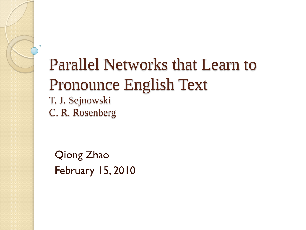### Parallel Networks that Learn to Pronounce English Text T. J. Sejnowski C. R. Rosenberg

Qiong Zhao February 15, 2010

 $\circ$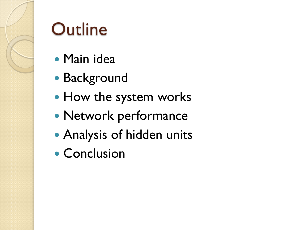

## **Outline**

- Main idea
- Background
- How the system works
- Network performance
- Analysis of hidden units
- Conclusion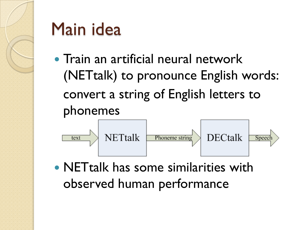

## Main idea

 Train an artificial neural network (NETtalk) to pronounce English words: convert a string of English letters to phonemes



 NETtalk has some similarities with observed human performance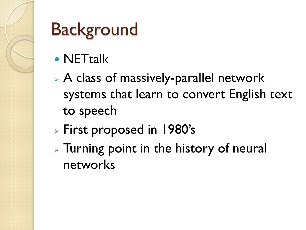# **Background**

- NETtalk
- A class of massively-parallel network systems that learn to convert English text to speech
- First proposed in 1980's
- $\triangleright$  Turning point in the history of neural networks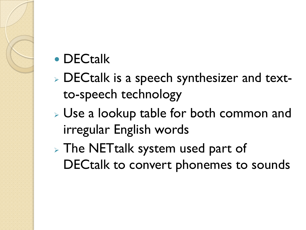#### • DECtalk

- **DECtalk is a speech synthesizer and text**to-speech technology
- Use a lookup table for both common and irregular English words
- **The NETtalk system used part of** DECtalk to convert phonemes to sounds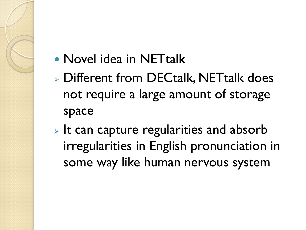

- **Different from DECtalk, NETtalk does** not require a large amount of storage space
- $\triangleright$  It can capture regularities and absorb irregularities in English pronunciation in some way like human nervous system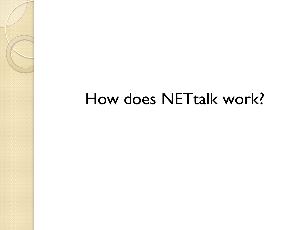## How does NETtalk work?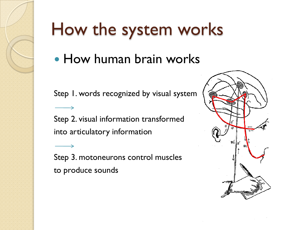# How the system works

• How human brain works

Step 1. words recognized by visual system

Step 2. visual information transformed into articulatory information

Step 3. motoneurons control muscles to produce sounds

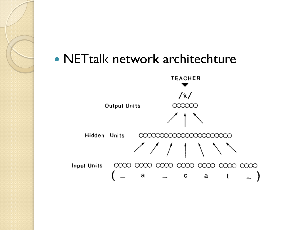#### NETtalk network architechture

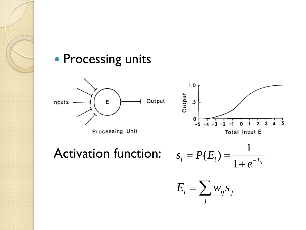#### • Processing units





Activation function:

$$
s_i = P(E_i) = \frac{1}{1 + e^{-E_i}}
$$

$$
E_i = \sum_j w_{ij} s_j
$$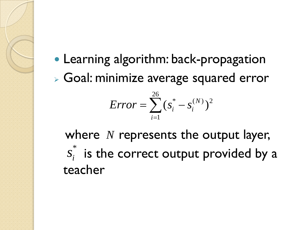• Learning algorithm: back-propagation Goal: minimize average squared error

$$
Error = \sum_{i=1}^{26} (s_i^* - s_i^{(N)})^2
$$

where N represents the output layer,  $s_i^*$  is the correct output provided by a teacher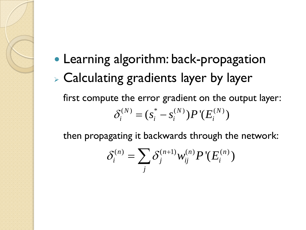• Learning algorithm: back-propagation Calculating gradients layer by layer first compute the error gradient on the output layer:  $\delta_i^{(N)} = (s_i^* - s_i^{(N)}) P'(E_i^{(N)})$ 

then propagating it backwards through the network:

$$
\delta_i^{(n)} = \sum_j \delta_j^{(n+1)} w_{ij}^{(n)} P'(E_i^{(n)})
$$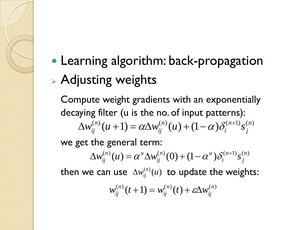## • Learning algorithm: back-propagation Adjusting weights

Compute weight gradients with an exponentially decaying filter (u is the no. of input patterns):  $\Delta w_{ij}^{(n)}(u+1) = \alpha \Delta w_{ij}^{(n)}(u) + (1-\alpha)\delta_i^{(n+1)}s_j^{(n)}$ 

we get the general term:

 $\Delta w_{ij}^{(n)}(u) = \alpha^u \Delta w_{ij}^{(n)}(0) + (1 - \alpha^u) \delta_i^{(n+1)} s_j^{(n)}$ 

then we can use  $\Delta w_{ij}^{(n)}(u)$  to update the weights:

$$
w_{ij}^{(n)}(t+1) = w_{ij}^{(n)}(t) + \varepsilon \Delta w_{ij}^{(n)}
$$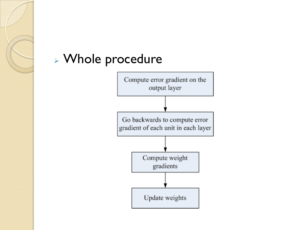#### Whole procedure

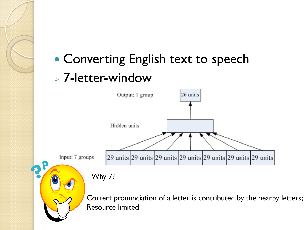## • Converting English text to speech 7-letter-window



Correct pronunciation of a letter is contributed by the nearby letters; Resource limited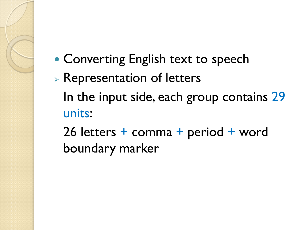- Converting English text to speech
- $\triangleright$  Representation of letters In the input side, each group contains 29 units:

26 letters + comma + period + word boundary marker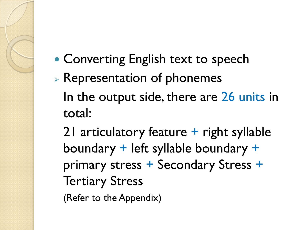- Converting English text to speech
- $\triangleright$  Representation of phonemes In the output side, there are 26 units in total:

21 articulatory feature + right syllable boundary + left syllable boundary + primary stress + Secondary Stress + Tertiary Stress (Refer to the Appendix)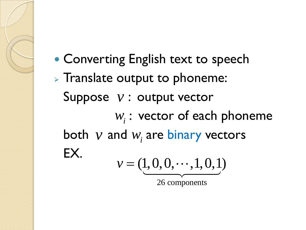• Converting English text to speech  $\triangleright$  Translate output to phoneme: Suppose  $v:$  output vector : vector of each phoneme *wi* both  $\nu$  and  $w_i$  are binary vectors EX. 26 components  $v = (\underbrace{1,0,0,\cdots,1,0,1})$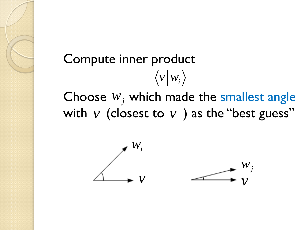Compute inner product Choose  $w_j$  which made the smallest angle  $\langle v | w_i \rangle$ 

with  $\nu$  (closest to  $\nu$  ) as the "best guess"

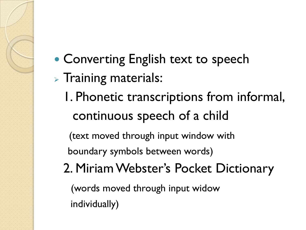- Converting English text to speech
- $\triangleright$  Training materials:
	- 1. Phonetic transcriptions from informal, continuous speech of a child

(text moved through input window with

boundary symbols between words)

2. Miriam Webster's Pocket Dictionary

(words moved through input widow individually)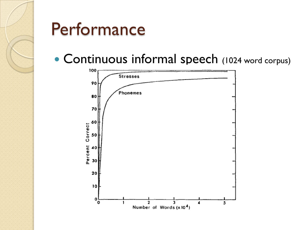

## **Performance**

#### • Continuous informal speech (1024 word corpus)

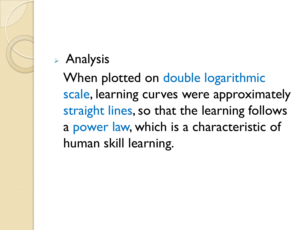### Analysis

When plotted on double logarithmic scale, learning curves were approximately straight lines, so that the learning follows a power law, which is a characteristic of human skill learning.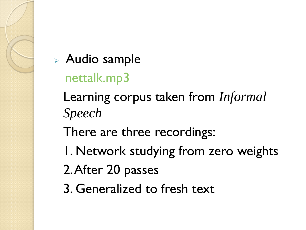

Audio sample

nettalk.mp3

Learning corpus taken from *Informal Speech*

There are three recordings:

1. Network studying from zero weights

2. After 20 passes

3. Generalized to fresh text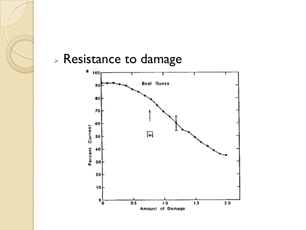#### Resistance to damage

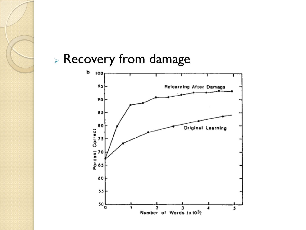#### Recovery from damage

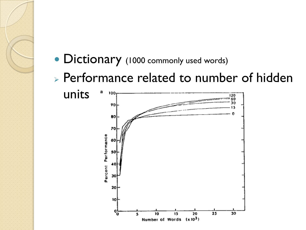

Performance related to number of hidden

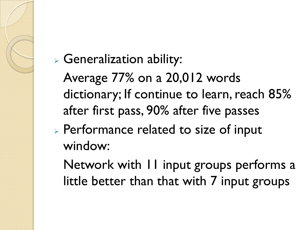#### Generalization ability:

Average 77% on a 20,012 words dictionary; If continue to learn, reach 85% after first pass, 90% after five passes

 Performance related to size of input window:

Network with 11 input groups performs a little better than that with 7 input groups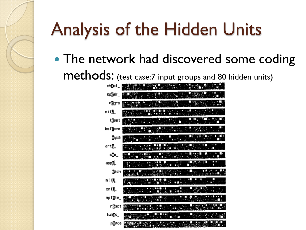# Analysis of the Hidden Units

• The network had discovered some coding methods: (test case:7 input groups and 80 hidden units)

| chije f  |   |
|----------|---|
| sp3ak_   |   |
| nggro    |   |
| nit豇     |   |
| lgast    |   |
| be l'ave |   |
| Zqua     |   |
| art乳     |   |
| 520_     |   |
| app页     |   |
| gach     |   |
| nil],    |   |
| onl肛     |   |
| mpl@te_  |   |
| r∑act    |   |
| lua Ts_  |   |
| рзасе    | œ |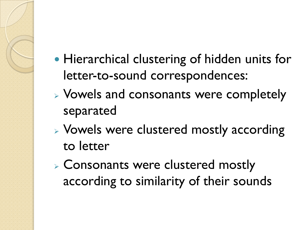- Hierarchical clustering of hidden units for letter-to-sound correspondences:
- Vowels and consonants were completely separated
- Vowels were clustered mostly according to letter
- Consonants were clustered mostly according to similarity of their sounds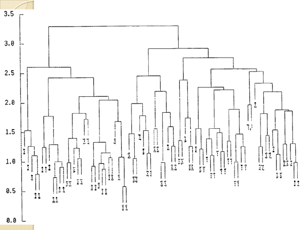

8.8